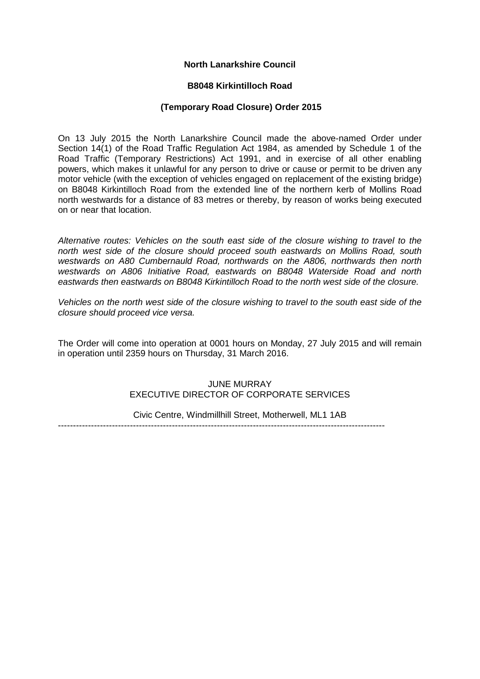# **North Lanarkshire Council**

### **B8048 Kirkintilloch Road**

### **(Temporary Road Closure) Order 2015**

On 13 July 2015 the North Lanarkshire Council made the above-named Order under Section 14(1) of the Road Traffic Regulation Act 1984, as amended by Schedule 1 of the Road Traffic (Temporary Restrictions) Act 1991, and in exercise of all other enabling powers, which makes it unlawful for any person to drive or cause or permit to be driven any motor vehicle (with the exception of vehicles engaged on replacement of the existing bridge) on B8048 Kirkintilloch Road from the extended line of the northern kerb of Mollins Road north westwards for a distance of 83 metres or thereby, by reason of works being executed on or near that location.

*Alternative routes: Vehicles on the south east side of the closure wishing to travel to the north west side of the closure should proceed south eastwards on Mollins Road, south westwards on A80 Cumbernauld Road, northwards on the A806, northwards then north westwards on A806 Initiative Road, eastwards on B8048 Waterside Road and north eastwards then eastwards on B8048 Kirkintilloch Road to the north west side of the closure.*

*Vehicles on the north west side of the closure wishing to travel to the south east side of the closure should proceed vice versa.*

The Order will come into operation at 0001 hours on Monday, 27 July 2015 and will remain in operation until 2359 hours on Thursday, 31 March 2016.

# JUNE MURRAY EXECUTIVE DIRECTOR OF CORPORATE SERVICES

Civic Centre, Windmillhill Street, Motherwell, ML1 1AB

-------------------------------------------------------------------------------------------------------------